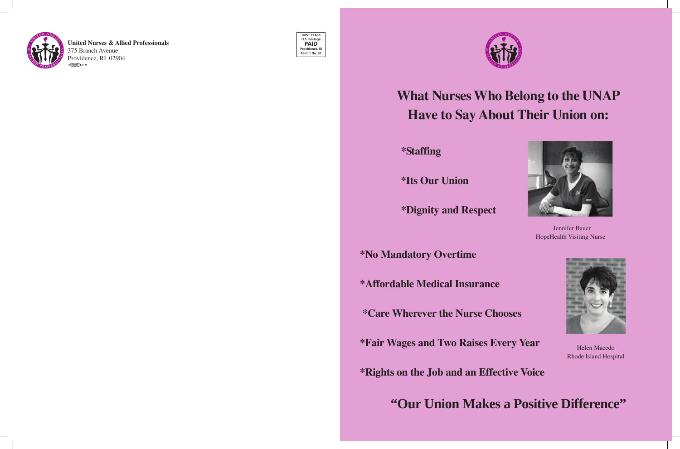### **What Nurses Who Belong to the UNAP Have to Say About Their Union on:**

 **\*Staffing**

 **\*Its Our Union**

 **\*Dignity and Respect**

**\*No Mandatory Overtime**

**\*Affordable Medical Insurance**

 **\*Care Wherever the Nurse Chooses**

**United Nurses & Allied Professionals** 375 Branch Avenue Providence, RI 02904

**\*Fair Wages and Two Raises Every Year**

**\*Rights on the Job and an Effective Voice**





### **"Our Union Makes a Positive Difference"**

Jennifer Bauer HopeHealth Visiting Nurse



Helen Macedo Rhode Island Hospital